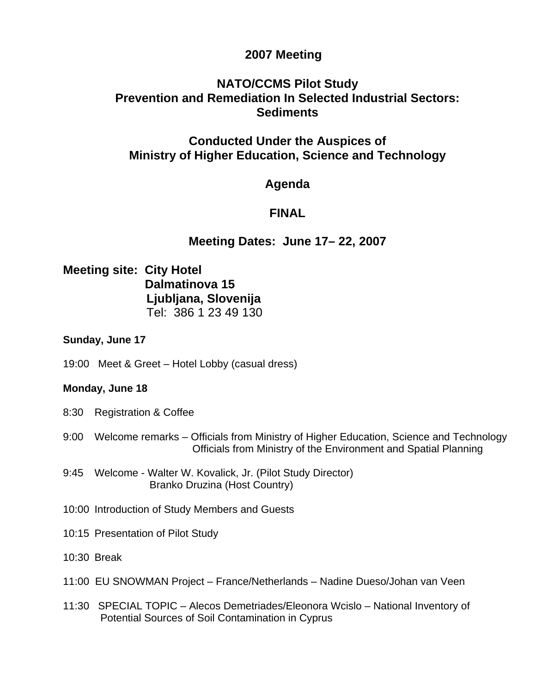## **2007 Meeting**

# **NATO/CCMS Pilot Study Prevention and Remediation In Selected Industrial Sectors: Sediments**

## **Conducted Under the Auspices of Ministry of Higher Education, Science and Technology**

### **Agenda**

# **FINAL**

# **Meeting Dates: June 17– 22, 2007**

## **Meeting site: City Hotel Dalmatinova 15 Ljubljana, Slovenija**  Tel: 386 1 23 49 130

### **Sunday, June 17**

19:00 Meet & Greet – Hotel Lobby (casual dress)

### **Monday, June 18**

- 8:30 Registration & Coffee
- 9:00 Welcome remarks Officials from Ministry of Higher Education, Science and Technology Officials from Ministry of the Environment and Spatial Planning
- 9:45 Welcome Walter W. Kovalick, Jr. (Pilot Study Director) Branko Druzina (Host Country)
- 10:00 Introduction of Study Members and Guests
- 10:15 Presentation of Pilot Study
- 10:30 Break
- 11:00 EU SNOWMAN Project France/Netherlands Nadine Dueso/Johan van Veen
- 11:30 SPECIAL TOPIC Alecos Demetriades/Eleonora Wcislo National Inventory of Potential Sources of Soil Contamination in Cyprus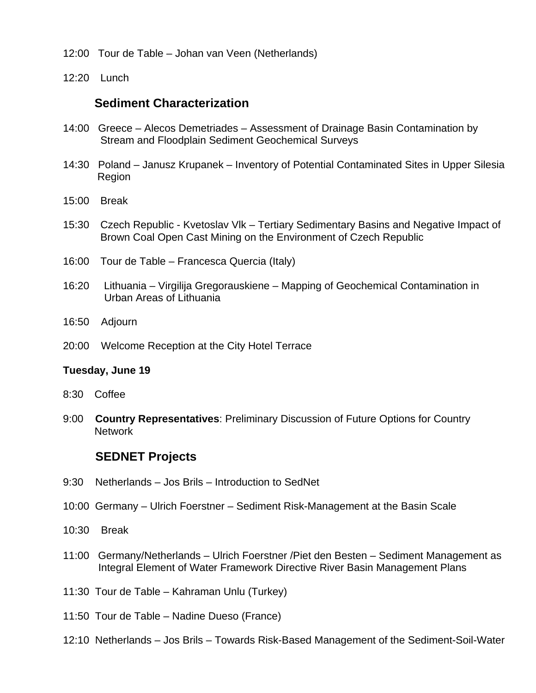- 12:00Tour de Table Johan van Veen (Netherlands)
- 12:20 Lunch

### **Sediment Characterization**

- 14:00 Greece Alecos Demetriades Assessment of Drainage Basin Contamination by Stream and Floodplain Sediment Geochemical Surveys
- 14:30 Poland Janusz Krupanek Inventory of Potential Contaminated Sites in Upper Silesia Region
- 15:00 Break
- 15:30 Czech Republic Kvetoslav Vlk Tertiary Sedimentary Basins and Negative Impact of Brown Coal Open Cast Mining on the Environment of Czech Republic
- 16:00 Tour de Table Francesca Quercia (Italy)
- 16:20 Lithuania Virgilija Gregorauskiene Mapping of Geochemical Contamination in Urban Areas of Lithuania
- 16:50 Adjourn
- 20:00 Welcome Reception at the City Hotel Terrace

#### **Tuesday, June 19**

- 8:30 Coffee
- 9:00 **Country Representatives**: Preliminary Discussion of Future Options for Country Network

### **SEDNET Projects**

- 9:30 Netherlands Jos Brils Introduction to SedNet
- 10:00 Germany Ulrich Foerstner Sediment Risk-Management at the Basin Scale
- 10:30 Break
- 11:00 Germany/Netherlands Ulrich Foerstner /Piet den Besten Sediment Management as Integral Element of Water Framework Directive River Basin Management Plans
- 11:30 Tour de Table Kahraman Unlu (Turkey)
- 11:50 Tour de Table Nadine Dueso (France)
- 12:10 Netherlands Jos Brils Towards Risk-Based Management of the Sediment-Soil-Water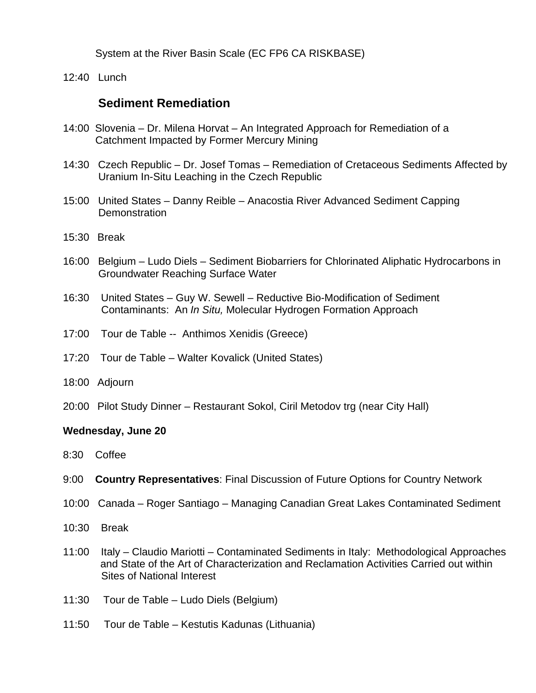System at the River Basin Scale (EC FP6 CA RISKBASE)

12:40 Lunch

### **Sediment Remediation**

- 14:00 Slovenia Dr. Milena Horvat An Integrated Approach for Remediation of a Catchment Impacted by Former Mercury Mining
- 14:30 Czech Republic Dr. Josef Tomas Remediation of Cretaceous Sediments Affected by Uranium In-Situ Leaching in the Czech Republic
- 15:00 United States Danny Reible Anacostia River Advanced Sediment Capping **Demonstration**
- 15:30 Break
- 16:00 Belgium Ludo Diels Sediment Biobarriers for Chlorinated Aliphatic Hydrocarbons in Groundwater Reaching Surface Water
- 16:30 United States Guy W. Sewell Reductive Bio-Modification of Sediment Contaminants: An *In Situ,* Molecular Hydrogen Formation Approach
- 17:00 Tour de Table -- Anthimos Xenidis (Greece)
- 17:20Tour de Table Walter Kovalick (United States)
- 18:00 Adjourn
- 20:00 Pilot Study Dinner Restaurant Sokol, Ciril Metodov trg (near City Hall)

### **Wednesday, June 20**

- 8:30 Coffee
- 9:00 **Country Representatives**: Final Discussion of Future Options for Country Network
- 10:00 Canada Roger Santiago Managing Canadian Great Lakes Contaminated Sediment
- 10:30 Break
- 11:00 Italy Claudio Mariotti Contaminated Sediments in Italy: Methodological Approaches and State of the Art of Characterization and Reclamation Activities Carried out within Sites of National Interest
- 11:30 Tour de Table Ludo Diels (Belgium)
- 11:50 Tour de Table Kestutis Kadunas (Lithuania)